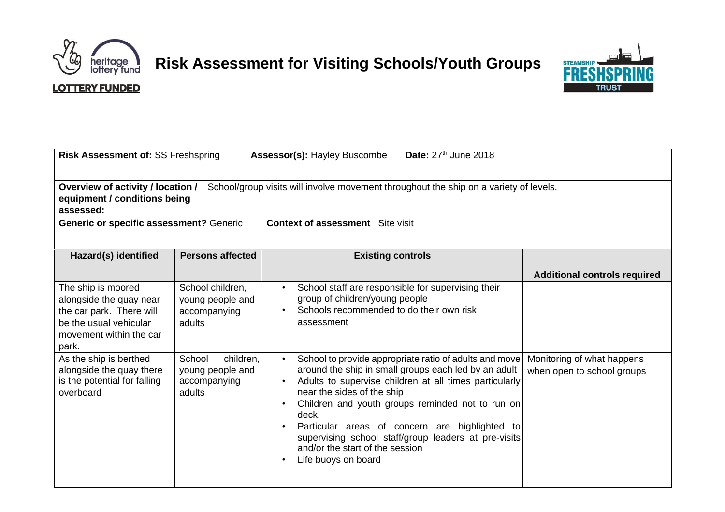

## **Risk Assessment for Visiting Schools/Youth Groups**



## **LOTTERY FUNDED**

| Risk Assessment of: SS Freshspring                                                                                                                |                                                      | Assessor(s): Hayley Buscombe                                                                  | Date: $27th$ June 2018                                                                                                                                                                                                                                                                                                                 |                                                          |
|---------------------------------------------------------------------------------------------------------------------------------------------------|------------------------------------------------------|-----------------------------------------------------------------------------------------------|----------------------------------------------------------------------------------------------------------------------------------------------------------------------------------------------------------------------------------------------------------------------------------------------------------------------------------------|----------------------------------------------------------|
| <b>Overview of activity / location /</b><br>equipment / conditions being<br>assessed:                                                             |                                                      | School/group visits will involve movement throughout the ship on a variety of levels.         |                                                                                                                                                                                                                                                                                                                                        |                                                          |
| Generic or specific assessment? Generic                                                                                                           |                                                      | <b>Context of assessment</b> Site visit                                                       |                                                                                                                                                                                                                                                                                                                                        |                                                          |
| Hazard(s) identified                                                                                                                              | <b>Persons affected</b>                              | <b>Existing controls</b>                                                                      |                                                                                                                                                                                                                                                                                                                                        |                                                          |
|                                                                                                                                                   |                                                      |                                                                                               |                                                                                                                                                                                                                                                                                                                                        | <b>Additional controls required</b>                      |
| The ship is moored<br>alongside the quay near<br>the car park. There will<br>be the usual vehicular<br>adults<br>movement within the car<br>park. | School children,<br>young people and<br>accompanying | group of children/young people<br>Schools recommended to do their own risk<br>assessment      | School staff are responsible for supervising their                                                                                                                                                                                                                                                                                     |                                                          |
| As the ship is berthed<br>School<br>alongside the quay there<br>is the potential for falling<br>overboard<br>adults                               | children.<br>young people and<br>accompanying        | near the sides of the ship<br>deck.<br>and/or the start of the session<br>Life buoys on board | School to provide appropriate ratio of adults and move<br>around the ship in small groups each led by an adult<br>Adults to supervise children at all times particularly<br>Children and youth groups reminded not to run on<br>Particular areas of concern are highlighted to<br>supervising school staff/group leaders at pre-visits | Monitoring of what happens<br>when open to school groups |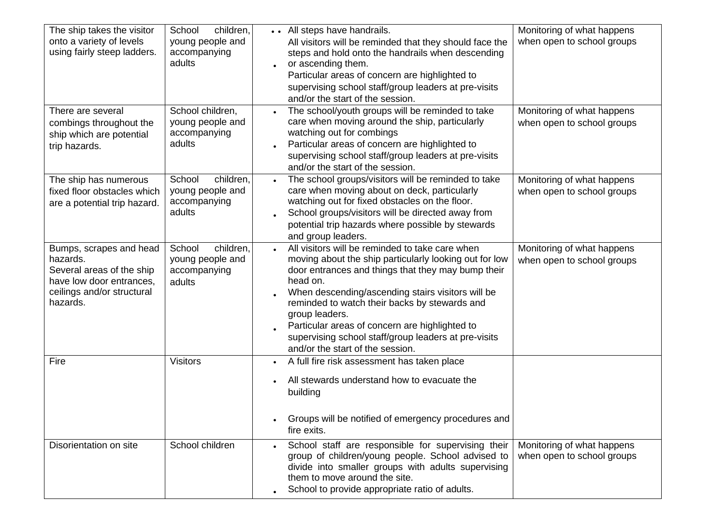| The ship takes the visitor<br>onto a variety of levels<br>using fairly steep ladders.<br>There are several<br>combings throughout the<br>ship which are potential | School<br>children,<br>young people and<br>accompanying<br>adults<br>School children,<br>young people and<br>accompanying<br>adults | All steps have handrails.<br>All visitors will be reminded that they should face the<br>steps and hold onto the handrails when descending<br>or ascending them.<br>Particular areas of concern are highlighted to<br>supervising school staff/group leaders at pre-visits<br>and/or the start of the session.<br>The school/youth groups will be reminded to take<br>$\bullet$<br>care when moving around the ship, particularly<br>watching out for combings<br>Particular areas of concern are highlighted to | Monitoring of what happens<br>when open to school groups<br>Monitoring of what happens<br>when open to school groups |
|-------------------------------------------------------------------------------------------------------------------------------------------------------------------|-------------------------------------------------------------------------------------------------------------------------------------|-----------------------------------------------------------------------------------------------------------------------------------------------------------------------------------------------------------------------------------------------------------------------------------------------------------------------------------------------------------------------------------------------------------------------------------------------------------------------------------------------------------------|----------------------------------------------------------------------------------------------------------------------|
| trip hazards.                                                                                                                                                     |                                                                                                                                     | supervising school staff/group leaders at pre-visits<br>and/or the start of the session.                                                                                                                                                                                                                                                                                                                                                                                                                        |                                                                                                                      |
| The ship has numerous<br>fixed floor obstacles which<br>are a potential trip hazard.                                                                              | children.<br>School<br>young people and<br>accompanying<br>adults                                                                   | The school groups/visitors will be reminded to take<br>$\bullet$<br>care when moving about on deck, particularly<br>watching out for fixed obstacles on the floor.<br>School groups/visitors will be directed away from<br>potential trip hazards where possible by stewards<br>and group leaders.                                                                                                                                                                                                              | Monitoring of what happens<br>when open to school groups                                                             |
| Bumps, scrapes and head<br>hazards.<br>Several areas of the ship<br>have low door entrances,<br>ceilings and/or structural<br>hazards.                            | children.<br>School<br>young people and<br>accompanying<br>adults                                                                   | All visitors will be reminded to take care when<br>moving about the ship particularly looking out for low<br>door entrances and things that they may bump their<br>head on.<br>When descending/ascending stairs visitors will be<br>reminded to watch their backs by stewards and<br>group leaders.<br>Particular areas of concern are highlighted to<br>supervising school staff/group leaders at pre-visits<br>and/or the start of the session.                                                               | Monitoring of what happens<br>when open to school groups                                                             |
| Fire                                                                                                                                                              | <b>Visitors</b>                                                                                                                     | A full fire risk assessment has taken place<br>All stewards understand how to evacuate the<br>building<br>Groups will be notified of emergency procedures and<br>fire exits.                                                                                                                                                                                                                                                                                                                                    |                                                                                                                      |
| Disorientation on site                                                                                                                                            | School children                                                                                                                     | School staff are responsible for supervising their<br>group of children/young people. School advised to<br>divide into smaller groups with adults supervising<br>them to move around the site.<br>School to provide appropriate ratio of adults.                                                                                                                                                                                                                                                                | Monitoring of what happens<br>when open to school groups                                                             |